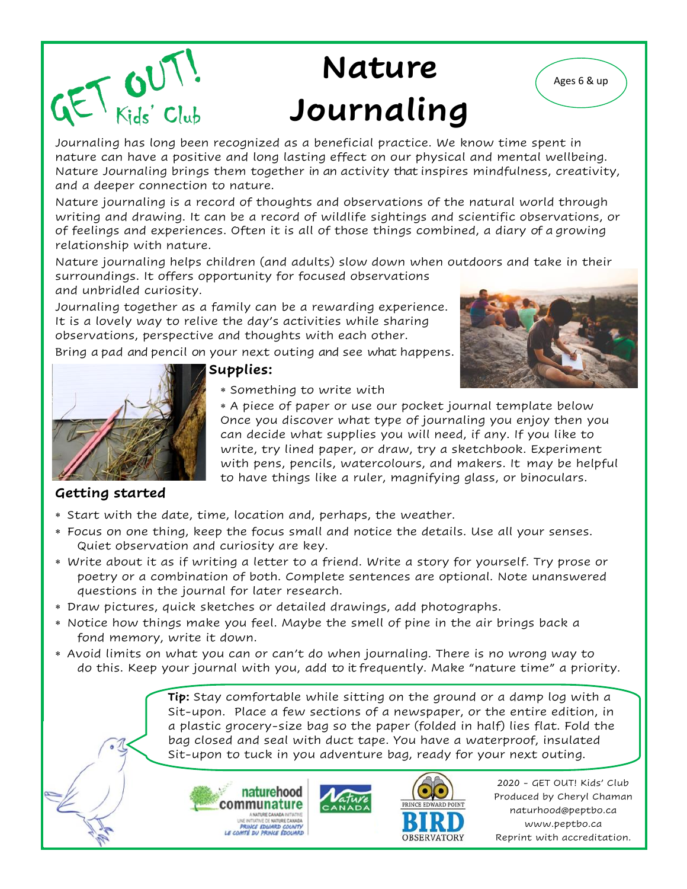# **Nature Ages 6 & up Journaling**

Journaling has long been recognized as a beneficial practice. We know time spent in nature can have a positive and long lasting effect on our physical and mental wellbeing. Nature Journaling brings them together in an activity that inspires mindfulness, creativity, and a deeper connection to nature.

Nature journaling is a record of thoughts and observations of the natural world through writing and drawing. It can be a record of wildlife sightings and scientific observations, or of feelings and experiences. Often it is all of those things combined, a diary of a growing relationship with nature.

Nature journaling helps children (and adults) slow down when outdoors and take in their surroundings. It offers opportunity for focused observations

and unbridled curiosity.

GET WUT!

Journaling together as a family can be a rewarding experience. It is a lovely way to relive the day's activities while sharing observations, perspective and thoughts with each other.

Bring a pad and pencil on your next outing and see what happens.





### **Supplies:**

Something to write with

 A piece of paper or use our pocket journal template below Once you discover what type of journaling you enjoy then you can decide what supplies you will need, if any. If you like to write, try lined paper, or draw, try a sketchbook. Experiment with pens, pencils, watercolours, and makers. It may be helpful to have things like a ruler, magnifying glass, or binoculars.

### **Getting started**

- Start with the date, time, location and, perhaps, the weather.
- Focus on one thing, keep the focus small and notice the details. Use all your senses. Quiet observation and curiosity are key.
- Write about it as if writing a letter to a friend. Write a story for yourself. Try prose or poetry or a combination of both. Complete sentences are optional. Note unanswered questions in the journal for later research.
- Draw pictures, quick sketches or detailed drawings, add photographs.
- Notice how things make you feel. Maybe the smell of pine in the air brings back a fond memory, write it down.
- Avoid limits on what you can or can't do when journaling. There is no wrong way to do this. Keep your journal with you, add to it frequently. Make "nature time" a priority.

**Tip:** Stay comfortable while sitting on the ground or a damp log with a Sit-upon. Place a few sections of a newspaper, or the entire edition, in a plastic grocery-size bag so the paper (folded in half) lies flat. Fold the bag closed and seal with duct tape. You have a waterproof, insulated Sit-upon to tuck in you adventure bag, ready for your next outing.





2020 - GET OUT! Kids' Club Produced by Cheryl Chaman naturhood@peptbo.ca www.peptbo.ca Reprint with accreditation.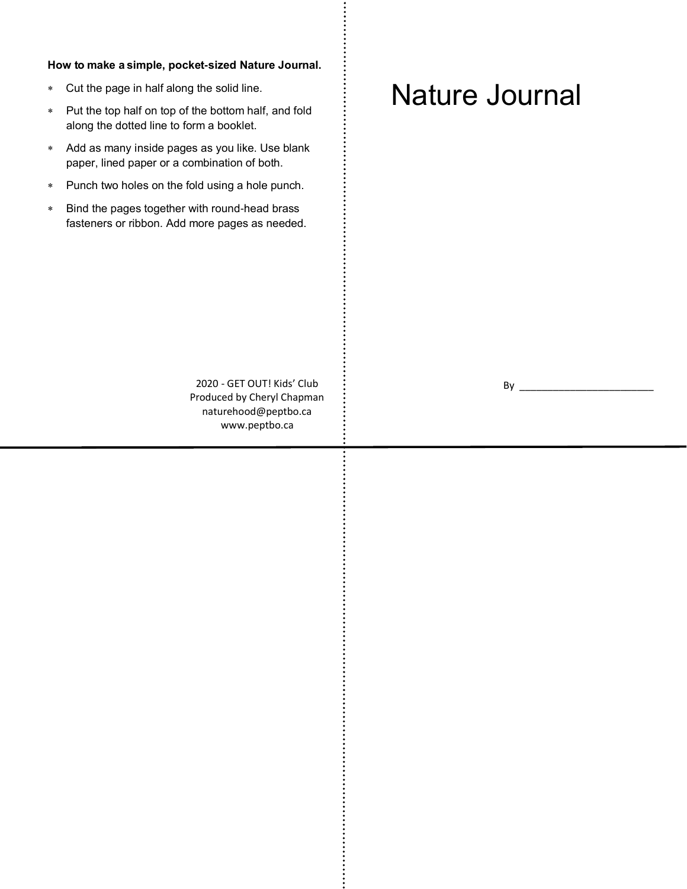#### **How to make a simple, pocket-sized Nature Journal.**

- Cut the page in half along the solid line.
- Put the top half on top of the bottom half, and fold along the dotted line to form a booklet.
- Add as many inside pages as you like. Use blank paper, lined paper or a combination of both.
- Punch two holes on the fold using a hole punch.
- Bind the pages together with round-head brass fasteners or ribbon. Add more pages as needed.

## Nature Journal

2020 - GET OUT! Kids' Club Produced by Cheryl Chapman naturehood@peptbo.ca www.peptbo.ca

 $By \_$